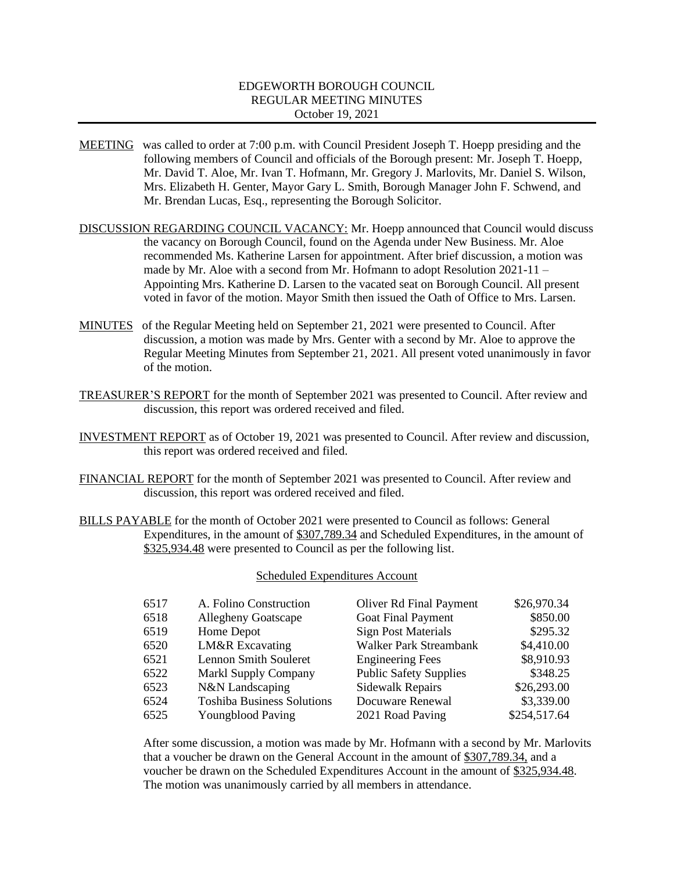# EDGEWORTH BOROUGH COUNCIL REGULAR MEETING MINUTES October 19, 2021

- MEETING was called to order at 7:00 p.m. with Council President Joseph T. Hoepp presiding and the following members of Council and officials of the Borough present: Mr. Joseph T. Hoepp, Mr. David T. Aloe, Mr. Ivan T. Hofmann, Mr. Gregory J. Marlovits, Mr. Daniel S. Wilson, Mrs. Elizabeth H. Genter, Mayor Gary L. Smith, Borough Manager John F. Schwend, and Mr. Brendan Lucas, Esq., representing the Borough Solicitor.
- DISCUSSION REGARDING COUNCIL VACANCY: Mr. Hoepp announced that Council would discuss the vacancy on Borough Council, found on the Agenda under New Business. Mr. Aloe recommended Ms. Katherine Larsen for appointment. After brief discussion, a motion was made by Mr. Aloe with a second from Mr. Hofmann to adopt Resolution 2021-11 – Appointing Mrs. Katherine D. Larsen to the vacated seat on Borough Council. All present voted in favor of the motion. Mayor Smith then issued the Oath of Office to Mrs. Larsen.
- MINUTES of the Regular Meeting held on September 21, 2021 were presented to Council. After discussion, a motion was made by Mrs. Genter with a second by Mr. Aloe to approve the Regular Meeting Minutes from September 21, 2021. All present voted unanimously in favor of the motion.
- TREASURER'S REPORT for the month of September 2021 was presented to Council. After review and discussion, this report was ordered received and filed.
- INVESTMENT REPORT as of October 19, 2021 was presented to Council. After review and discussion, this report was ordered received and filed.
- FINANCIAL REPORT for the month of September 2021 was presented to Council. After review and discussion, this report was ordered received and filed.
- BILLS PAYABLE for the month of October 2021 were presented to Council as follows: General Expenditures, in the amount of \$307,789.34 and Scheduled Expenditures, in the amount of \$325,934.48 were presented to Council as per the following list.

# Scheduled Expenditures Account

| 6518<br><b>Goat Final Payment</b><br><b>Allegheny Goatscape</b><br><b>Sign Post Materials</b><br>6519<br>Home Depot | \$850.00     |
|---------------------------------------------------------------------------------------------------------------------|--------------|
|                                                                                                                     |              |
|                                                                                                                     | \$295.32     |
| LM&R Excavating<br>Walker Park Streambank<br>6520                                                                   | \$4,410.00   |
| <b>Lennon Smith Souleret</b><br>6521<br><b>Engineering Fees</b>                                                     | \$8,910.93   |
| 6522<br><b>Public Safety Supplies</b><br><b>Markl Supply Company</b>                                                | \$348.25     |
| N&N Landscaping<br>6523<br>Sidewalk Repairs                                                                         | \$26,293.00  |
| 6524<br><b>Toshiba Business Solutions</b><br>Docuware Renewal                                                       | \$3,339.00   |
| 6525<br>2021 Road Paving<br><b>Youngblood Paving</b>                                                                | \$254,517.64 |

After some discussion, a motion was made by Mr. Hofmann with a second by Mr. Marlovits that a voucher be drawn on the General Account in the amount of \$307,789.34, and a voucher be drawn on the Scheduled Expenditures Account in the amount of \$325,934.48. The motion was unanimously carried by all members in attendance.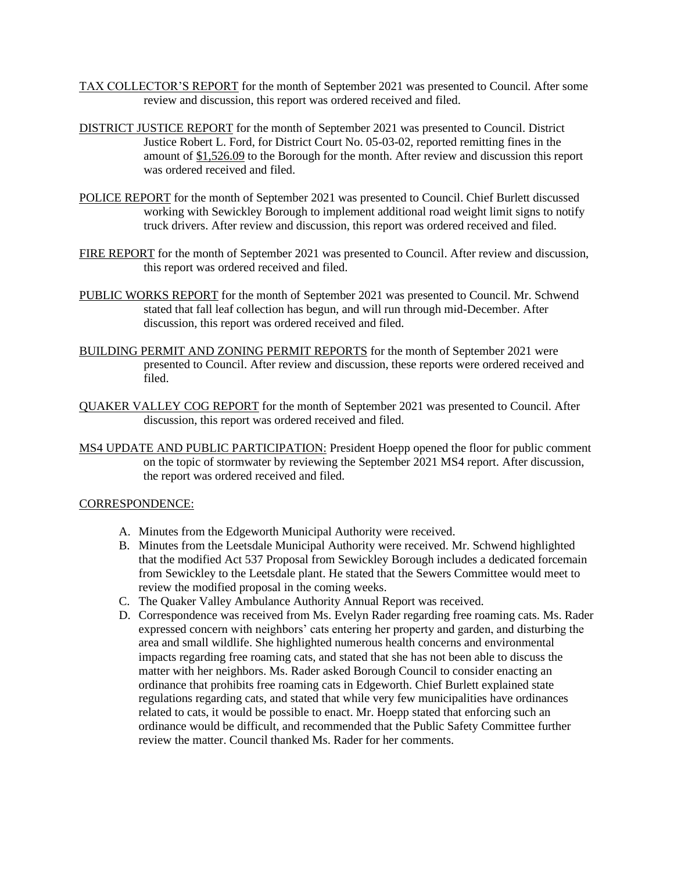- TAX COLLECTOR'S REPORT for the month of September 2021 was presented to Council. After some review and discussion, this report was ordered received and filed.
- DISTRICT JUSTICE REPORT for the month of September 2021 was presented to Council. District Justice Robert L. Ford, for District Court No. 05-03-02, reported remitting fines in the amount of \$1,526.09 to the Borough for the month. After review and discussion this report was ordered received and filed.
- POLICE REPORT for the month of September 2021 was presented to Council. Chief Burlett discussed working with Sewickley Borough to implement additional road weight limit signs to notify truck drivers. After review and discussion, this report was ordered received and filed.
- FIRE REPORT for the month of September 2021 was presented to Council. After review and discussion, this report was ordered received and filed.
- PUBLIC WORKS REPORT for the month of September 2021 was presented to Council. Mr. Schwend stated that fall leaf collection has begun, and will run through mid-December. After discussion, this report was ordered received and filed.
- BUILDING PERMIT AND ZONING PERMIT REPORTS for the month of September 2021 were presented to Council. After review and discussion, these reports were ordered received and filed.
- QUAKER VALLEY COG REPORT for the month of September 2021 was presented to Council. After discussion, this report was ordered received and filed.
- MS4 UPDATE AND PUBLIC PARTICIPATION: President Hoepp opened the floor for public comment on the topic of stormwater by reviewing the September 2021 MS4 report. After discussion, the report was ordered received and filed.

#### CORRESPONDENCE:

- A. Minutes from the Edgeworth Municipal Authority were received.
- B. Minutes from the Leetsdale Municipal Authority were received. Mr. Schwend highlighted that the modified Act 537 Proposal from Sewickley Borough includes a dedicated forcemain from Sewickley to the Leetsdale plant. He stated that the Sewers Committee would meet to review the modified proposal in the coming weeks.
- C. The Quaker Valley Ambulance Authority Annual Report was received.
- D. Correspondence was received from Ms. Evelyn Rader regarding free roaming cats. Ms. Rader expressed concern with neighbors' cats entering her property and garden, and disturbing the area and small wildlife. She highlighted numerous health concerns and environmental impacts regarding free roaming cats, and stated that she has not been able to discuss the matter with her neighbors. Ms. Rader asked Borough Council to consider enacting an ordinance that prohibits free roaming cats in Edgeworth. Chief Burlett explained state regulations regarding cats, and stated that while very few municipalities have ordinances related to cats, it would be possible to enact. Mr. Hoepp stated that enforcing such an ordinance would be difficult, and recommended that the Public Safety Committee further review the matter. Council thanked Ms. Rader for her comments.